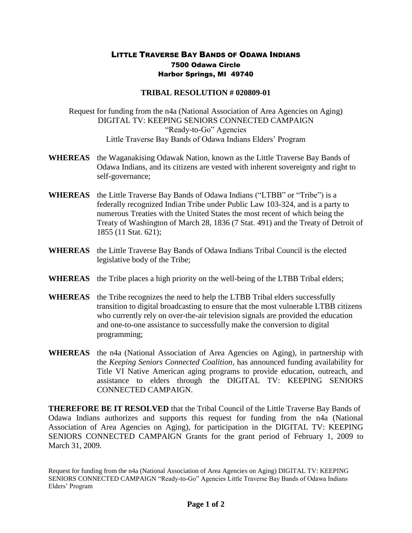## LITTLE TRAVERSE BAY BANDS OF ODAWA INDIANS 7500 Odawa Circle Harbor Springs, MI 49740

## **TRIBAL RESOLUTION # 020809-01**

Request for funding from the n4a (National Association of Area Agencies on Aging) DIGITAL TV: KEEPING SENIORS CONNECTED CAMPAIGN "Ready-to-Go" Agencies Little Traverse Bay Bands of Odawa Indians Elders' Program

- **WHEREAS** the Waganakising Odawak Nation, known as the Little Traverse Bay Bands of Odawa Indians, and its citizens are vested with inherent sovereignty and right to self-governance;
- **WHEREAS** the Little Traverse Bay Bands of Odawa Indians ("LTBB" or "Tribe") is a federally recognized Indian Tribe under Public Law 103-324, and is a party to numerous Treaties with the United States the most recent of which being the Treaty of Washington of March 28, 1836 (7 Stat. 491) and the Treaty of Detroit of 1855 (11 Stat. 621);
- **WHEREAS** the Little Traverse Bay Bands of Odawa Indians Tribal Council is the elected legislative body of the Tribe;
- **WHEREAS** the Tribe places a high priority on the well-being of the LTBB Tribal elders;
- **WHEREAS** the Tribe recognizes the need to help the LTBB Tribal elders successfully transition to digital broadcasting to ensure that the most vulnerable LTBB citizens who currently rely on over-the-air television signals are provided the education and one-to-one assistance to successfully make the conversion to digital programming;
- **WHEREAS** the n4a (National Association of Area Agencies on Aging), in partnership with the *Keeping Seniors Connected Coalition*, has announced funding availability for Title VI Native American aging programs to provide education, outreach, and assistance to elders through the DIGITAL TV: KEEPING SENIORS CONNECTED CAMPAIGN.

**THEREFORE BE IT RESOLVED** that the Tribal Council of the Little Traverse Bay Bands of Odawa Indians authorizes and supports this request for funding from the n4a (National Association of Area Agencies on Aging), for participation in the DIGITAL TV: KEEPING SENIORS CONNECTED CAMPAIGN Grants for the grant period of February 1, 2009 to March 31, 2009.

Request for funding from the n4a (National Association of Area Agencies on Aging) DIGITAL TV: KEEPING SENIORS CONNECTED CAMPAIGN "Ready-to-Go" Agencies Little Traverse Bay Bands of Odawa Indians Elders' Program